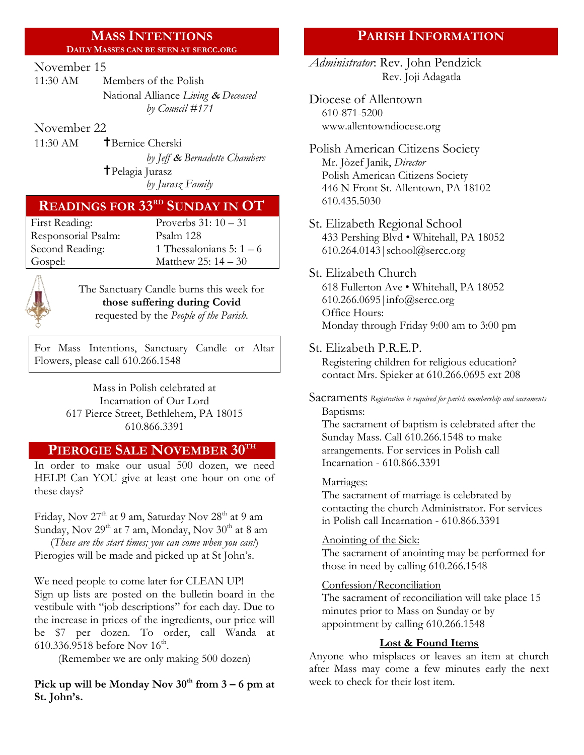#### **MASS INTENTIONS DAILY MASSES CAN BE SEEN AT SERCC.ORG**

#### November 15

11:30 AM Members of the Polish National Alliance *Living* & *Deceased by Council #171*

November 22

11:30 AM **T**Bernice Cherski *by Jeff* & *Bernadette Chambers* Pelagia Jurasz

# *by Jurasz Family*

# **READINGS FOR 33RD SUNDAY IN OT**

| First Reading:      | Proverbs $31:10-31$    |
|---------------------|------------------------|
| Responsorial Psalm: | Psalm 128              |
| Second Reading:     | 1 Thessalonians 5: 1 - |
| Gospel:             | Matthew 25: $14 - 30$  |



The Sanctuary Candle burns this week for **those suffering during Covid** requested by the *People of the Parish.*

Thessalonians  $5: 1 - 6$ 

For Mass Intentions, Sanctuary Candle or Altar Flowers, please call 610.266.1548

> Mass in Polish celebrated at Incarnation of Our Lord 617 Pierce Street, Bethlehem, PA 18015 610.866.3391

### **PIEROGIE SALE NOVEMBER 30TH**

In order to make our usual 500 dozen, we need HELP! Can YOU give at least one hour on one of these days?

Friday, Nov 27<sup>th</sup> at 9 am, Saturday Nov 28<sup>th</sup> at 9 am Sunday, Nov 29<sup>th</sup> at 7 am, Monday, Nov 30<sup>th</sup> at 8 am

(*These are the start times; you can come when you can!*) Pierogies will be made and picked up at St John's.

We need people to come later for CLEAN UP! Sign up lists are posted on the bulletin board in the vestibule with "job descriptions" for each day. Due to the increase in prices of the ingredients, our price will be \$7 per dozen. To order, call Wanda at 610.336.9518 before Nov  $16^{\text{th}}$ .

(Remember we are only making 500 dozen)

**Pick up will be Monday Nov**  $30^{\text{th}}$  **from**  $3 - 6$  **pm at St. John's.**

## **PARISH INFORMATION**

*Administrator*: Rev. John Pendzick Rev. Joji Adagatla

Diocese of Allentown 610-871-5200 www.allentowndiocese.org

Polish American Citizens Society Mr. Jòzef Janik, *Director* Polish American Citizens Society 446 N Front St. Allentown, PA 18102 610.435.5030

- St. Elizabeth Regional School 433 Pershing Blvd • Whitehall, PA 18052 610.264.0143|school@sercc.org
- St. Elizabeth Church 618 Fullerton Ave • Whitehall, PA 18052 610.266.0695|info@sercc.org Office Hours: Monday through Friday 9:00 am to 3:00 pm
- St. Elizabeth P.R.E.P. Registering children for religious education? contact Mrs. Spieker at 610.266.0695 ext 208
- Sacraments *Registration is required for parish membership and sacraments* Baptisms:

The sacrament of baptism is celebrated after the Sunday Mass. Call 610.266.1548 to make arrangements. For services in Polish call Incarnation - 610.866.3391

#### Marriages:

The sacrament of marriage is celebrated by contacting the church Administrator. For services in Polish call Incarnation - 610.866.3391

#### Anointing of the Sick:

The sacrament of anointing may be performed for those in need by calling 610.266.1548

#### Confession/Reconciliation

The sacrament of reconciliation will take place 15 minutes prior to Mass on Sunday or by appointment by calling 610.266.1548

#### **Lost & Found Items**

Anyone who misplaces or leaves an item at church after Mass may come a few minutes early the next week to check for their lost item.